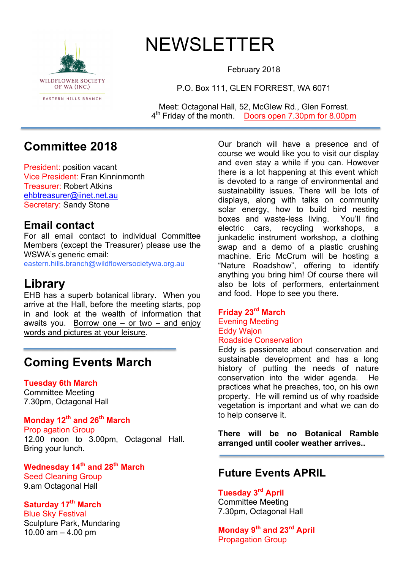

# NEWSLETTER

February 2018

P.O. Box 111, GLEN FORREST, WA 6071

Meet: Octagonal Hall, 52, McGlew Rd., Glen Forrest. 4th Friday of the month. Doors open 7.30pm for 8.00pm

# **Committee 2018**

President: position vacant Vice President: Fran Kinninmonth Treasurer: Robert Atkins ehbtreasurer@iinet.net.au Secretary: Sandy Stone

### **Email contact**

For all email contact to individual Committee Members (except the Treasurer) please use the WSWA's generic email:

eastern.hills.branch@wildflowersocietywa.org.au

# **Library**

EHB has a superb botanical library. When you arrive at the Hall, before the meeting starts, pop in and look at the wealth of information that awaits you. Borrow one  $-$  or two  $-$  and enjoy words and pictures at your leisure.

# **Coming Events March**

#### **Tuesday 6th March**

Committee Meeting 7.30pm, Octagonal Hall

### **Monday 12th and 26th March**

Prop agation Group 12.00 noon to 3.00pm, Octagonal Hall. Bring your lunch.

**Wednesday 14th and 28th March** Seed Cleaning Group 9.am Octagonal Hall

### **Saturday 17th March**

Blue Sky Festival Sculpture Park, Mundaring 10.00 am  $-$  4.00 pm

Our branch will have a presence and of course we would like you to visit our display and even stay a while if you can. However there is a lot happening at this event which is devoted to a range of environmental and sustainability issues. There will be lots of displays, along with talks on community solar energy, how to build bird nesting boxes and waste-less living. You'll find electric cars, recycling workshops, a junkadelic instrument workshop, a clothing swap and a demo of a plastic crushing machine. Eric McCrum will be hosting a "Nature Roadshow", offering to identify anything you bring him! Of course there will also be lots of performers, entertainment and food. Hope to see you there.

# **Friday 23rd March**

Evening Meeting Eddy Wajon Roadside Conservation

Eddy is passionate about conservation and sustainable development and has a long history of putting the needs of nature conservation into the wider agenda. He practices what he preaches, too, on his own property. He will remind us of why roadside vegetation is important and what we can do to help conserve it.

**There will be no Botanical Ramble arranged until cooler weather arrives..**

### **Future Events APRIL**

### **Tuesday 3rd April**

Committee Meeting 7.30pm, Octagonal Hall

**Monday 9th and 23rd April** Propagation Group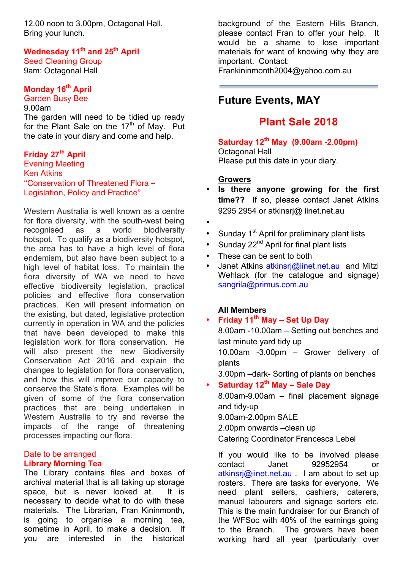12.00 noon to 3.00pm, Octagonal Hall. Bring your lunch.

**Wednesday 11th and 25th April** Seed Cleaning Group

9am: Octagonal Hall

#### **Monday 16th April**

Garden Busy Bee

9.00am The garden will need to be tidied up ready for the Plant Sale on the  $17<sup>th</sup>$  of May. Put the date in your diary and come and help.

#### **Friday 27th April**

Evening Meeting Ken Atkins "Conservation of Threatened Flora – Legislation, Policy and Practice"

Western Australia is well known as a centre for flora diversity, with the south-west being recognised as a world biodiversity hotspot. To qualify as a biodiversity hotspot, the area has to have a high level of flora endemism, but also have been subject to a high level of habitat loss. To maintain the flora diversity of WA we need to have effective biodiversity legislation, practical policies and effective flora conservation practices. Ken will present information on the existing, but dated, legislative protection currently in operation in WA and the policies that have been developed to make this legislation work for flora conservation. He will also present the new Biodiversity Conservation Act 2016 and explain the changes to legislation for flora conservation, and how this will improve our capacity to conserve the State's flora. Examples will be given of some of the flora conservation practices that are being undertaken in Western Australia to try and reverse the impacts of the range of threatening processes impacting our flora.

#### Date to be arranged **Library Morning Tea**

The Library contains files and boxes of archival material that is all taking up storage space, but is never looked at. It is necessary to decide what to do with these materials. The Librarian, Fran Kininmonth, is going to organise a morning tea, sometime in April, to make a decision. If you are interested in the historical

background of the Eastern Hills Branch, please contact Fran to offer your help. It would be a shame to lose important materials for want of knowing why they are important. Contact: Frankininmonth2004@yahoo.com.au

# **Future Events, MAY**

## **Plant Sale 2018**

**Saturday 12th May (9.00am -2.00pm)** Octagonal Hall Please put this date in your diary.

#### **Growers**

- **Is there anyone growing for the first time??** If so, please contact Janet Atkins 9295 2954 or atkinsrj@ iinet.net.au
- •
- Sunday  $1^{st}$  April for preliminary plant lists
- Sunday 22<sup>nd</sup> April for final plant lists
- These can be sent to both
- Janet Atkins atkinsri@iinet.net.au and Mitzi Wehlack (for the catalogue and signage) sangrila@primus.com.au

#### **All Members**

• **Friday 11th May – Set Up Day** 8.00am -10.00am – Setting out benches and last minute yard tidy up 10.00am -3.00pm – Grower delivery of plants 3.00pm –dark- Sorting of plants on benches

• **Saturday 12th May – Sale Day**

8.00am-9.00am – final placement signage and tidy-up 9.00am-2.00pm SALE 2.00pm onwards –clean up Catering Coordinator Francesca Lebel

If you would like to be involved please contact Janet 92952954 or atkinsrj@iinet.net.au . I am about to set up rosters. There are tasks for everyone. We need plant sellers, cashiers, caterers, manual labourers and signage sorters etc. This is the main fundraiser for our Branch of the WFSoc with 40% of the earnings going to the Branch. The growers have been working hard all year (particularly over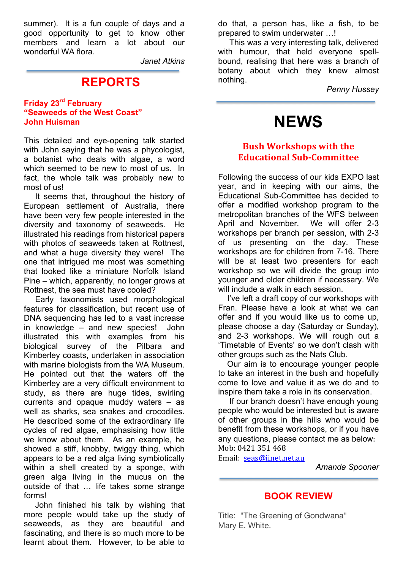summer). It is a fun couple of days and a good opportunity to get to know other members and learn a lot about our wonderful WA flora.

*Janet Atkins*

### **REPORTS**

#### **Friday 23rd February "Seaweeds of the West Coast" John Huisman**

This detailed and eye-opening talk started with John saying that he was a phycologist, a botanist who deals with algae, a word which seemed to be new to most of us. In fact, the whole talk was probably new to most of us!

 It seems that, throughout the history of European settlement of Australia, there have been very few people interested in the diversity and taxonomy of seaweeds. He illustrated his readings from historical papers with photos of seaweeds taken at Rottnest, and what a huge diversity they were! The one that intrigued me most was something that looked like a miniature Norfolk Island Pine – which, apparently, no longer grows at Rottnest, the sea must have cooled?

 Early taxonomists used morphological features for classification, but recent use of DNA sequencing has led to a vast increase in knowledge – and new species! John illustrated this with examples from his biological survey of the Pilbara and Kimberley coasts, undertaken in association with marine biologists from the WA Museum. He pointed out that the waters off the Kimberley are a very difficult environment to study, as there are huge tides, swirling currents and opaque muddy waters – as well as sharks, sea snakes and crocodiles. He described some of the extraordinary life cycles of red algae, emphasising how little we know about them. As an example, he showed a stiff, knobby, twiggy thing, which appears to be a red alga living symbiotically within a shell created by a sponge, with green alga living in the mucus on the outside of that … life takes some strange forms!

 John finished his talk by wishing that more people would take up the study of seaweeds, as they are beautiful and fascinating, and there is so much more to be learnt about them. However, to be able to do that, a person has, like a fish, to be prepared to swim underwater …!

 This was a very interesting talk, delivered with humour, that held everyone spellbound, realising that here was a branch of botany about which they knew almost nothing.

*Penny Hussey*

# **NEWS**

#### **Bush Workshops with the Educational Sub-Committee**

Following the success of our kids EXPO last year, and in keeping with our aims, the Educational Sub-Committee has decided to offer a modified workshop program to the metropolitan branches of the WFS between April and November. We will offer 2-3 workshops per branch per session, with 2-3 of us presenting on the day. These workshops are for children from 7-16. There will be at least two presenters for each workshop so we will divide the group into younger and older children if necessary. We will include a walk in each session.

 I've left a draft copy of our workshops with Fran. Please have a look at what we can offer and if you would like us to come up, please choose a day (Saturday or Sunday), and 2-3 workshops. We will rough out a 'Timetable of Events' so we don't clash with other groups such as the Nats Club.

 Our aim is to encourage younger people to take an interest in the bush and hopefully come to love and value it as we do and to inspire them take a role in its conservation.

 If our branch doesn't have enough young people who would be interested but is aware of other groups in the hills who would be benefit from these workshops, or if you have any questions, please contact me as below: Mob: 0421 351 468

Email: seas@iinet.net.au

*Amanda Spooner*

#### **BOOK REVIEW**

Title: "The Greening of Gondwana" Mary E. White.